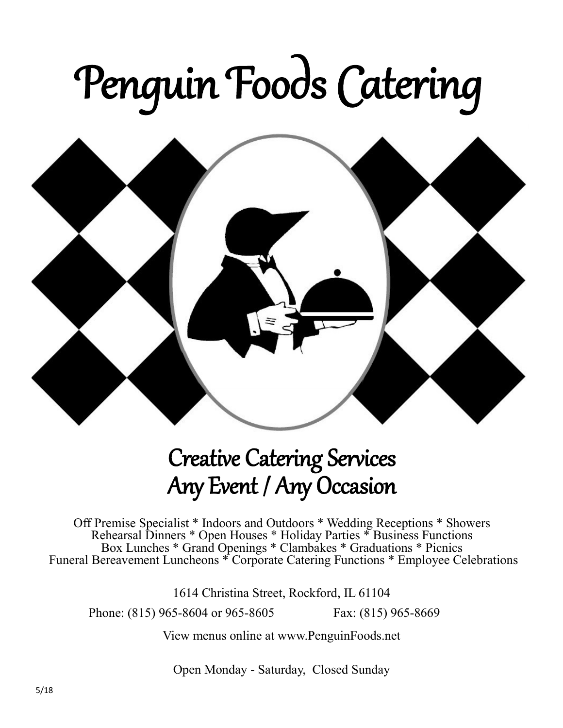# Penguin Foods Catering



### Creative Catering Services Any Event / Any Occasion

Off Premise Specialist \* Indoors and Outdoors \* Wedding Receptions \* Showers Rehearsal Dinners \* Open Houses \* Holiday Parties \* Business Functions Box Lunches \* Grand Openings \* Clambakes \* Graduations \* Picnics Funeral Bereavement Luncheons \* Corporate Catering Functions \* Employee Celebrations

1614 Christina Street, Rockford, IL 61104

Phone: (815) 965-8604 or 965-8605 Fax: (815) 965-8669

View menus online at www.PenguinFoods.net

Open Monday - Saturday, Closed Sunday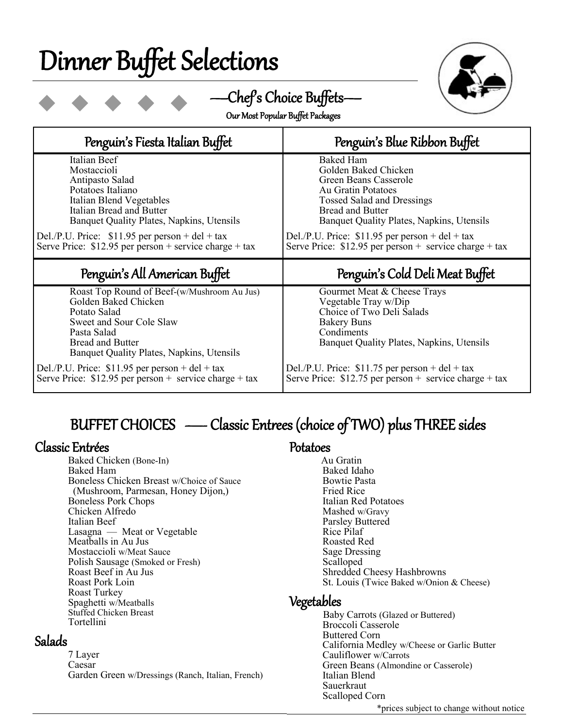# Dinner Buffet Selections



—Chef's Choice Buffets—

| Our Most Popular Buffet Packages |  |
|----------------------------------|--|
|----------------------------------|--|

| Penguin's Fiesta Italian Buffet                                                                                                                                                                                                                                                         | Penguin's Blue Ribbon Buffet                                                                                                                                                                                                                                                                                        |  |  |
|-----------------------------------------------------------------------------------------------------------------------------------------------------------------------------------------------------------------------------------------------------------------------------------------|---------------------------------------------------------------------------------------------------------------------------------------------------------------------------------------------------------------------------------------------------------------------------------------------------------------------|--|--|
| Italian Beef<br>Mostaccioli<br>Antipasto Salad<br>Potatoes Italiano<br>Italian Blend Vegetables<br>Italian Bread and Butter<br>Banquet Quality Plates, Napkins, Utensils<br>Del./P.U. Price: $$11.95$ per person + del + tax<br>Serve Price: $$12.95$ per person + service charge + tax | <b>Baked Ham</b><br>Golden Baked Chicken<br>Green Beans Casserole<br>Au Gratin Potatoes<br><b>Tossed Salad and Dressings</b><br><b>Bread and Butter</b><br>Banquet Quality Plates, Napkins, Utensils<br>Del./P.U. Price: $$11.95$ per person + del + tax<br>Serve Price: $$12.95$ per person + service charge + tax |  |  |
|                                                                                                                                                                                                                                                                                         |                                                                                                                                                                                                                                                                                                                     |  |  |
| Penguin's All American Buffet                                                                                                                                                                                                                                                           | Penguin's Cold Deli Meat Buffet                                                                                                                                                                                                                                                                                     |  |  |

#### BUFFET CHOICES - Classic Entrees (choice of TWO) plus THREE sides

#### Classic Entrées

Baked Chicken (Bone-In) Baked Ham Boneless Chicken Breast w/Choice of Sauce (Mushroom, Parmesan, Honey Dijon,) Boneless Pork Chops Chicken Alfredo Italian Beef Lasagna — Meat or Vegetable Meatballs in Au Jus Mostaccioli w/Meat Sauce Polish Sausage (Smoked or Fresh) Roast Beef in Au Jus Roast Pork Loin Roast Turkey Spaghetti w/Meatballs Stuffed Chicken Breast Tortellini

#### Salads

7 Layer Caesar Garden Green w/Dressings (Ranch, Italian, French)

#### Potatoes

 Au Gratin Baked Idaho Bowtie Pasta Fried Rice Italian Red Potatoes Mashed w/Gravy Parsley Buttered Rice Pilaf Roasted Red Sage Dressing Scalloped Shredded Cheesy Hashbrowns St. Louis (Twice Baked w/Onion & Cheese)

#### Vegetables

 Baby Carrots (Glazed or Buttered) Broccoli Casserole Buttered Corn California Medley w/Cheese or Garlic Butter Cauliflower w/Carrots Green Beans (Almondine or Casserole) Italian Blend **Sauerkraut** Scalloped Corn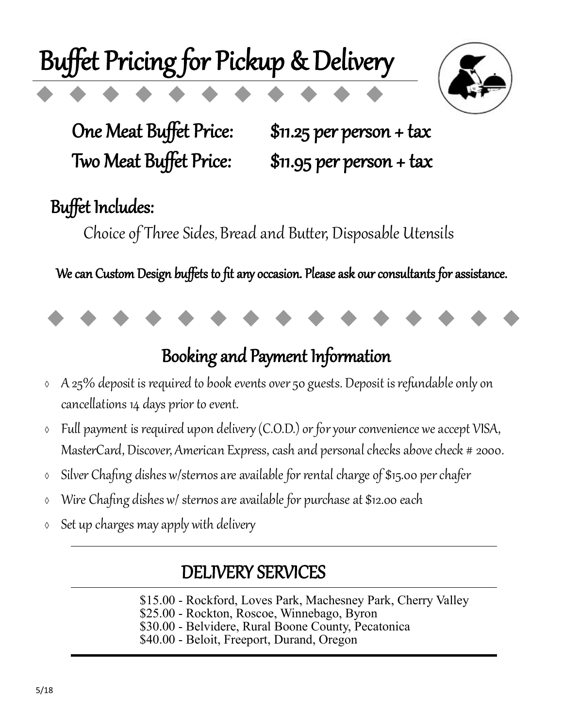# Buffet Pricing for Pickup & Delivery



One Meat Buffet Price: \$11.25 per person + tax Two Meat Buffet Price: \$11.95 per person + tax

### Buffet Includes:

Choice of Three Sides, Bread and Butter, Disposable Utensils

We can Custom Design buffets to fit any occasion. Please ask our consultants for assistance.



#### Booking and Payment Information

- $\delta$  A 25% deposit is required to book events over 50 guests. Deposit is refundable only on cancellations 14 days prior to event.
- Full payment is required upon delivery (C.O.D.) or for your convenience we accept VISA, MasterCard, Discover, American Express, cash and personal checks above check # 2000.
- Silver Chafing dishes w/sternos are available for rental charge of \$15.00 per chafer
- Wire Chafing dishes w/ sternos are available for purchase at \$12.00 each
- $\circ$  Set up charges may apply with delivery

### DELIVERY SERVICES

\$15.00 - Rockford, Loves Park, Machesney Park, Cherry Valley

\$25.00 - Rockton, Roscoe, Winnebago, Byron

\$30.00 - Belvidere, Rural Boone County, Pecatonica

\$40.00 - Beloit, Freeport, Durand, Oregon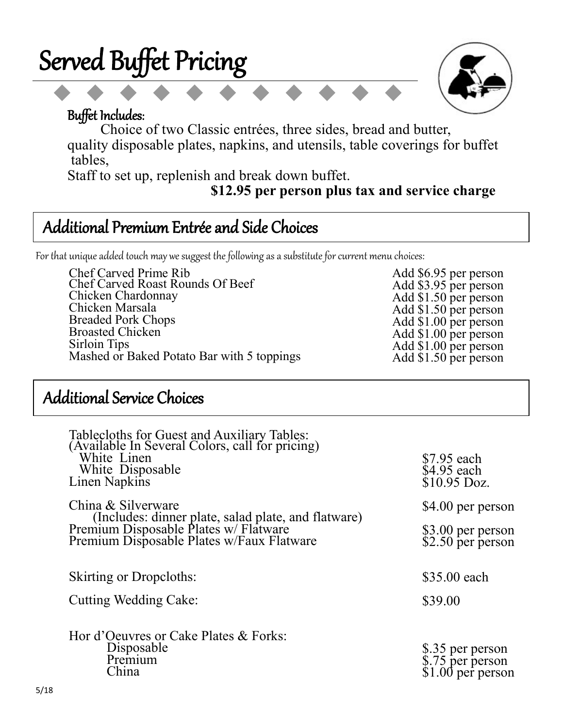



Add \$6.95 per person Add \$3.95 per person Add \$1.50 per person<br>Add \$1.50 per person Add \$1.00 per person Add \$1.00 per person

Add \$1.00 per person<br>Add \$1.50 per person

#### Buffet Includes:

 Choice of two Classic entrées, three sides, bread and butter, quality disposable plates, napkins, and utensils, table coverings for buffet tables,

Staff to set up, replenish and break down buffet.

 **\$12.95 per person plus tax and service charge**

#### Additional Premium Entrée and Side Choices

For that unique added touch may we suggest the following as a substitute for current menu choices:

Chef Carved Prime Rib Chef Carved Roast Rounds Of Beef Chicken Chardonnay Chicken Marsala Breaded Pork Chops Broasted Chicken Sirloin Tips Mashed or Baked Potato Bar with 5 toppings

#### Additional Service Choices

| Tablecloths for Guest and Auxiliary Tables:<br>(Available In Several Colors, call for pricing)<br>White Linen<br>White Disposable<br>Linen Napkins | \$7.95 each<br>\$4.95 each<br>\$10.95 Doz.                 |
|----------------------------------------------------------------------------------------------------------------------------------------------------|------------------------------------------------------------|
| China & Silverware                                                                                                                                 | \$4.00 per person                                          |
| (Includes: dinner plate, salad plate, and flatware)<br>Premium Disposable Plates w/ Flatware<br>Premium Disposable Plates w/Faux Flatware          | \$3.00 per person<br>\$2.50 per person                     |
| <b>Skirting or Dropcloths:</b>                                                                                                                     | \$35.00 each                                               |
| Cutting Wedding Cake:                                                                                                                              | \$39.00                                                    |
| Hor d'Oeuvres or Cake Plates & Forks:<br>Disposable<br>Premium<br>China                                                                            | \$.35 per person<br>\$.75 per person<br>$$1.00$ per person |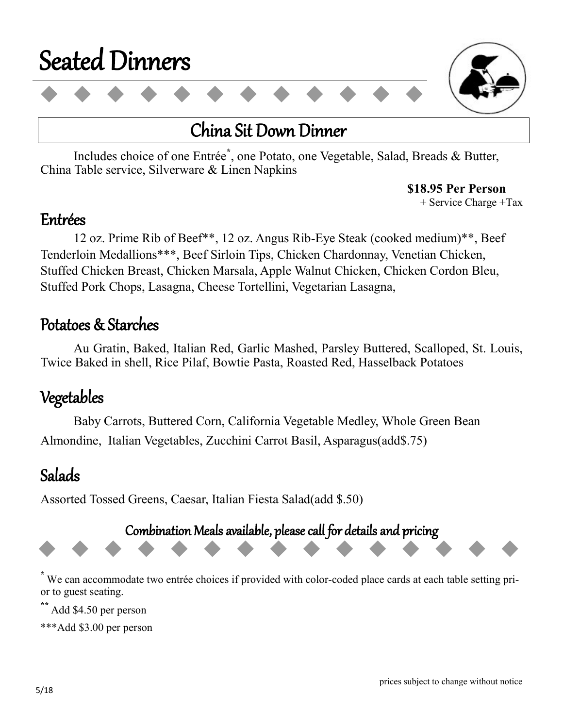

#### China Sit Down Dinner

Includes choice of one Entrée**\*** , one Potato, one Vegetable, Salad, Breads & Butter, China Table service, Silverware & Linen Napkins

**\$18.95 Per Person** 

+ Service Charge +Tax

#### Entrées

 12 oz. Prime Rib of Beef\*\*, 12 oz. Angus Rib-Eye Steak (cooked medium)\*\*, Beef Tenderloin Medallions\*\*\*, Beef Sirloin Tips, Chicken Chardonnay, Venetian Chicken, Stuffed Chicken Breast, Chicken Marsala, Apple Walnut Chicken, Chicken Cordon Bleu, Stuffed Pork Chops, Lasagna, Cheese Tortellini, Vegetarian Lasagna,

#### Potatoes & Starches

Au Gratin, Baked, Italian Red, Garlic Mashed, Parsley Buttered, Scalloped, St. Louis, Twice Baked in shell, Rice Pilaf, Bowtie Pasta, Roasted Red, Hasselback Potatoes

#### Vegetables

 Baby Carrots, Buttered Corn, California Vegetable Medley, Whole Green Bean Almondine, Italian Vegetables, Zucchini Carrot Basil, Asparagus(add\$.75)

#### Salads

Assorted Tossed Greens, Caesar, Italian Fiesta Salad(add \$.50)

Combination Meals available, please call for details and pricing

**\*** We can accommodate two entrée choices if provided with color-coded place cards at each table setting prior to guest seating.

**\*\*** Add \$4.50 per person

\*\*\*Add \$3.00 per person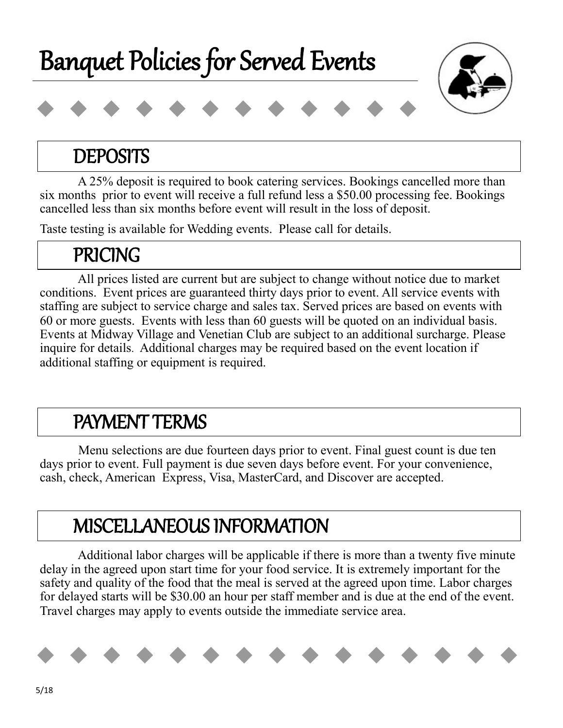



#### **DEPOSITS**

 A 25% deposit is required to book catering services. Bookings cancelled more than six months prior to event will receive a full refund less a \$50.00 processing fee. Bookings cancelled less than six months before event will result in the loss of deposit.

Taste testing is available for Wedding events. Please call for details.

### PRICING

 All prices listed are current but are subject to change without notice due to market conditions. Event prices are guaranteed thirty days prior to event. All service events with staffing are subject to service charge and sales tax. Served prices are based on events with 60 or more guests. Events with less than 60 guests will be quoted on an individual basis. Events at Midway Village and Venetian Club are subject to an additional surcharge. Please inquire for details. Additional charges may be required based on the event location if additional staffing or equipment is required.

### PAYMENT TERMS

 Menu selections are due fourteen days prior to event. Final guest count is due ten days prior to event. Full payment is due seven days before event. For your convenience, cash, check, American Express, Visa, MasterCard, and Discover are accepted.

### MISCELLANEOUS INFORMATION

I Additional labor charges will be applicable if there is more than a twenty five minute delay in the agreed upon start time for your food service. It is extremely important for the safety and quality of the food that the meal is served at the agreed upon time. Labor charges for delayed starts will be \$30.00 an hour per staff member and is due at the end of the event. Travel charges may apply to events outside the immediate service area.

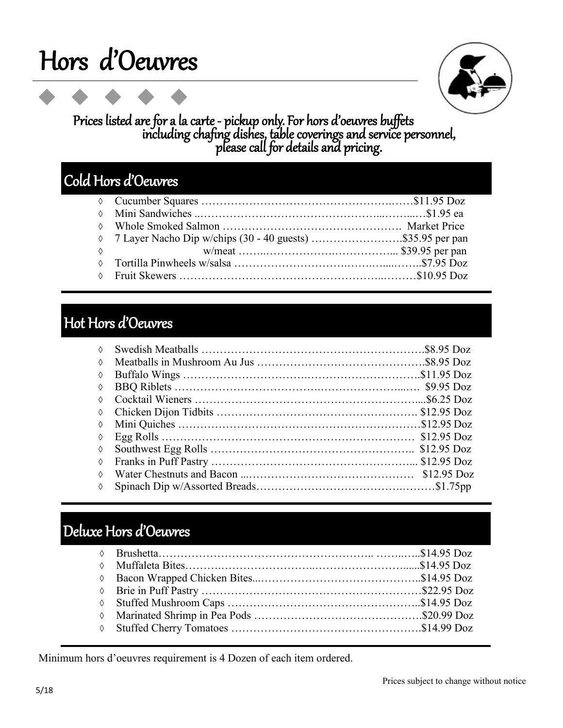# Hors d'Oeuvres



#### Prices listed are for a la carte - pickup only. For hors d'oeuvres buffets including chafing dishes, table coverings and service personnel, please call for details and pricing.

#### Cold Hors d'Oeuvres

|            | $\Diamond$ 7 Layer Nacho Dip w/chips (30 - 40 guests) \$35.95 per pan |  |
|------------|-----------------------------------------------------------------------|--|
| $\Diamond$ |                                                                       |  |
|            |                                                                       |  |
|            |                                                                       |  |
|            |                                                                       |  |

#### Hot Hors d'Oeuvres

| ♦          |  |
|------------|--|
| $\Diamond$ |  |
| ♦          |  |
| ♦          |  |
| $\Diamond$ |  |
| ♦          |  |
| ♦          |  |
| ♦          |  |
| ♦          |  |
| ♦          |  |
| ♦          |  |
| ♦          |  |

#### Deluxe Hors d'Oeuvres

Minimum hors d'oeuvres requirement is 4 Dozen of each item ordered.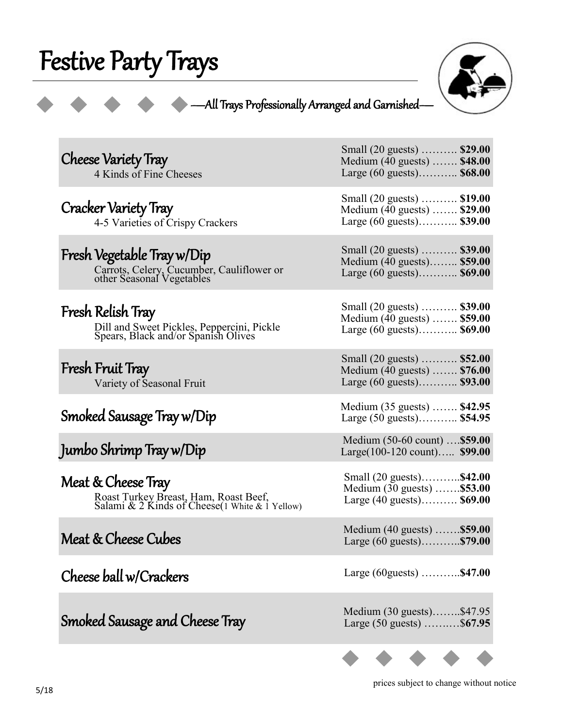# Festive Party Trays



#### —All Trays Professionally Arranged and Garnished—

| <b>Cheese Variety Tray</b><br>4 Kinds of Fine Cheeses                                                          | Small (20 guests)  \$29.00<br>Medium (40 guests)  \$48.00<br>Large $(60 \text{ guests})$ \$68.00 |
|----------------------------------------------------------------------------------------------------------------|--------------------------------------------------------------------------------------------------|
| Cracker Variety Tray<br>4-5 Varieties of Crispy Crackers                                                       | Small (20 guests)  \$19.00<br>Medium (40 guests)  \$29.00<br>Large $(60 \text{ guests})$ \$39.00 |
| Fresh Vegetable Tray w/Dip<br>Carrots, Celery, Cucumber, Cauliflower or<br>other Seasonal Vegetables           | Small (20 guests)  \$39.00<br>Medium (40 guests) \$59.00<br>Large (60 guests) \$69.00            |
| Fresh Relish Tray<br>Dill and Sweet Pickles, Peppercini, Pickle<br>Spears, Black and/or Spanish Olives         | Small (20 guests)  \$39.00<br>Medium (40 guests)  \$59.00<br>Large (60 guests) \$69.00           |
| Fresh Fruit Tray<br>Variety of Seasonal Fruit                                                                  | Small (20 guests)  \$52.00<br>Medium (40 guests)  \$76.00<br>Large (60 guests) \$93.00           |
|                                                                                                                |                                                                                                  |
| Smoked Sausage Tray w/Dip                                                                                      | Medium (35 guests)  \$42.95<br>Large (50 guests) \$54.95                                         |
| Jumbo Shrimp Tray w/Dip                                                                                        | Medium (50-60 count)  \$59.00<br>Large(100-120 count) \$99.00                                    |
| Meat & Cheese Tray<br>Roast Turkey Breast, Ham, Roast Beef,<br>Salami & 2 Kinds of Cheese (1 White & 1 Yellow) | Small (20 guests)\$42.00<br>Medium (30 guests)  \$53.00<br>Large $(40 \text{ guests})$ \$69.00   |
| Meat & Cheese Cubes                                                                                            | Medium (40 guests)  \$59.00<br>Large $(60 \text{ guests})$ \$79.00                               |
| Cheese ball w/Crackers                                                                                         | Large (60 guests) $\dots \dots \dots$ \$47.00                                                    |
| Smoked Sausage and Cheese Tray                                                                                 | Medium (30 guests)\$47.95<br>Large (50 guests) \$67.95                                           |

prices subject to change without notice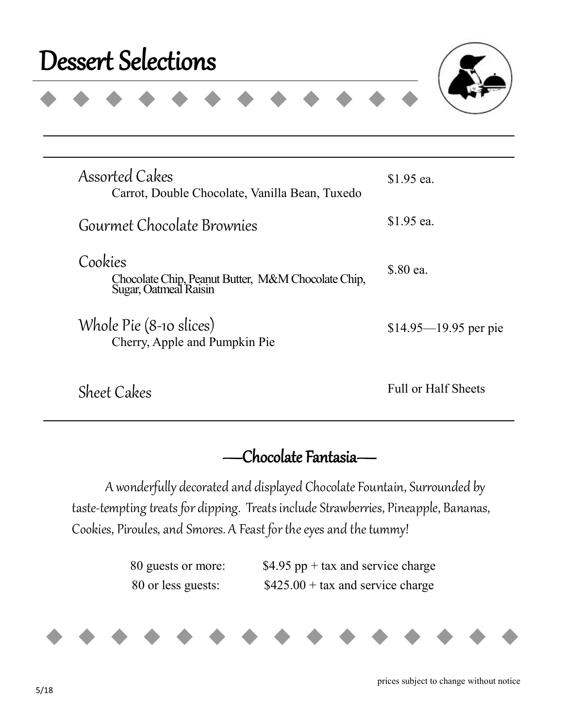## Dessert Selections



| <b>Assorted Cakes</b><br>Carrot, Double Chocolate, Vanilla Bean, Tuxedo                | \$1.95 ea.               |
|----------------------------------------------------------------------------------------|--------------------------|
| Gourmet Chocolate Brownies                                                             | \$1.95 ea.               |
| Cookies<br>Chocolate Chip, Peanut Butter, M&M Chocolate Chip,<br>Sugar, Oatmeal Raisin | \$.80 ea.                |
| Whole Pie (8-10 slices)<br>Cherry, Apple and Pumpkin Pie                               | $$14.95 - 19.95$ per pie |
| Sheet Cakes                                                                            | Full or Half Sheets      |

—Chocolate Fantasia—

A wonderfully decorated and displayed Chocolate Fountain, Surrounded by taste-tempting treats for dipping. Treats include Strawberries, Pineapple, Bananas, Cookies, Piroules, and Smores. A Feast for the eyes and the tummy!

| 80 guests or more: | \$4.95 pp + tax and service charge |
|--------------------|------------------------------------|
| 80 or less guests: | $$425.00 + tax$ and service charge |



prices subject to change without notice